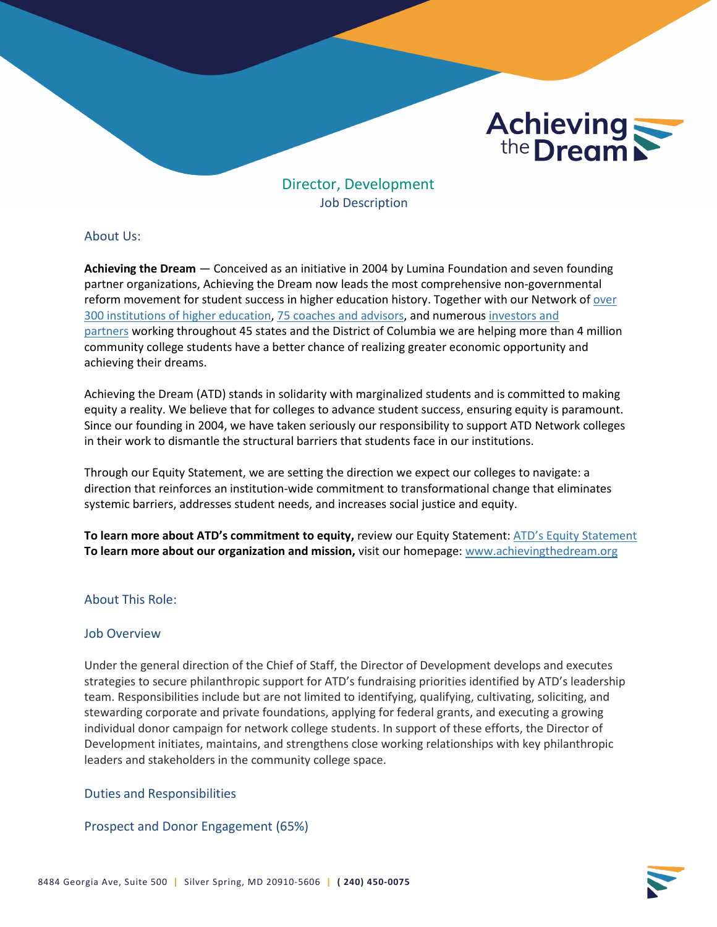

Job Description

# About Us:

**Achieving the Dream** — Conceived as an initiative in 2004 by Lumina Foundation and seven founding partner organizations, Achieving the Dream now leads the most comprehensive non-governmental reform movement for student success in higher education history. Together with our Network of [over](https://www.achievingthedream.org/our-network)  [300 institutions of higher education](https://www.achievingthedream.org/our-network), [75 coaches and advisors](https://www.achievingthedream.org/about-us/who-we-are), and numerous [investors and](https://www.achievingthedream.org/about-us/who-we-are#who-we-are-investors)  [partners](https://www.achievingthedream.org/about-us/who-we-are#who-we-are-investors) working throughout 45 states and the District of Columbia we are helping more than 4 million community college students have a better chance of realizing greater economic opportunity and achieving their dreams.

Achieving the Dream (ATD) stands in solidarity with marginalized students and is committed to making equity a reality. We believe that for colleges to advance student success, ensuring equity is paramount. Since our founding in 2004, we have taken seriously our responsibility to support ATD Network colleges in their work to dismantle the structural barriers that students face in our institutions.

Through our Equity Statement, we are setting the direction we expect our colleges to navigate: a direction that reinforces an institution-wide commitment to transformational change that eliminates systemic barriers, addresses student needs, and increases social justice and equity.

**To learn more about ATD's commitment to equity,** review our Equity Statement[: ATD's Equity Statement](https://www.achievingthedream.org/equity-statement) **To learn more about our organization and mission,** visit our homepage: [www.achievingthedream.org](http://www.achievingthedream.org/)

# About This Role:

# Job Overview

Under the general direction of the Chief of Staff, the Director of Development develops and executes strategies to secure philanthropic support for ATD's fundraising priorities identified by ATD's leadership team. Responsibilities include but are not limited to identifying, qualifying, cultivating, soliciting, and stewarding corporate and private foundations, applying for federal grants, and executing a growing individual donor campaign for network college students. In support of these efforts, the Director of Development initiates, maintains, and strengthens close working relationships with key philanthropic leaders and stakeholders in the community college space.

# Duties and Responsibilities

# Prospect and Donor Engagement (65%)

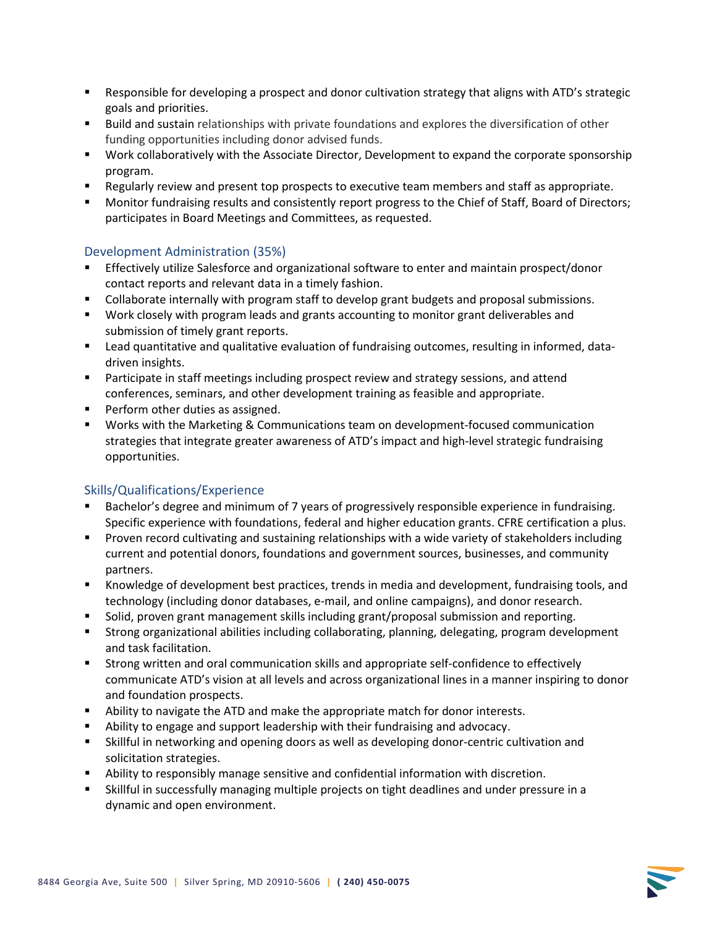- Responsible for developing a prospect and donor cultivation strategy that aligns with ATD's strategic goals and priorities.
- **Build and sustain relationships with private foundations and explores the diversification of other** funding opportunities including donor advised funds.
- Work collaboratively with the Associate Director, Development to expand the corporate sponsorship program.
- **EXECUTE:** Regularly review and present top prospects to executive team members and staff as appropriate.
- **Monitor fundraising results and consistently report progress to the Chief of Staff, Board of Directors;** participates in Board Meetings and Committees, as requested.

# Development Administration (35%)

- Effectively utilize Salesforce and organizational software to enter and maintain prospect/donor contact reports and relevant data in a timely fashion.
- Collaborate internally with program staff to develop grant budgets and proposal submissions.
- **Work closely with program leads and grants accounting to monitor grant deliverables and** submission of timely grant reports.
- Lead quantitative and qualitative evaluation of fundraising outcomes, resulting in informed, datadriven insights.
- **Participate in staff meetings including prospect review and strategy sessions, and attend** conferences, seminars, and other development training as feasible and appropriate.
- **Perform other duties as assigned.**
- Works with the Marketing & Communications team on development-focused communication strategies that integrate greater awareness of ATD's impact and high-level strategic fundraising opportunities.

# Skills/Qualifications/Experience

- Bachelor's degree and minimum of 7 years of progressively responsible experience in fundraising. Specific experience with foundations, federal and higher education grants. CFRE certification a plus.
- **Proven record cultivating and sustaining relationships with a wide variety of stakeholders including** current and potential donors, foundations and government sources, businesses, and community partners.
- Knowledge of development best practices, trends in media and development, fundraising tools, and technology (including donor databases, e-mail, and online campaigns), and donor research.
- **Solid, proven grant management skills including grant/proposal submission and reporting.**
- Strong organizational abilities including collaborating, planning, delegating, program development and task facilitation.
- Strong written and oral communication skills and appropriate self-confidence to effectively communicate ATD's vision at all levels and across organizational lines in a manner inspiring to donor and foundation prospects.
- Ability to navigate the ATD and make the appropriate match for donor interests.
- Ability to engage and support leadership with their fundraising and advocacy.
- Skillful in networking and opening doors as well as developing donor-centric cultivation and solicitation strategies.
- Ability to responsibly manage sensitive and confidential information with discretion.
- Skillful in successfully managing multiple projects on tight deadlines and under pressure in a dynamic and open environment.

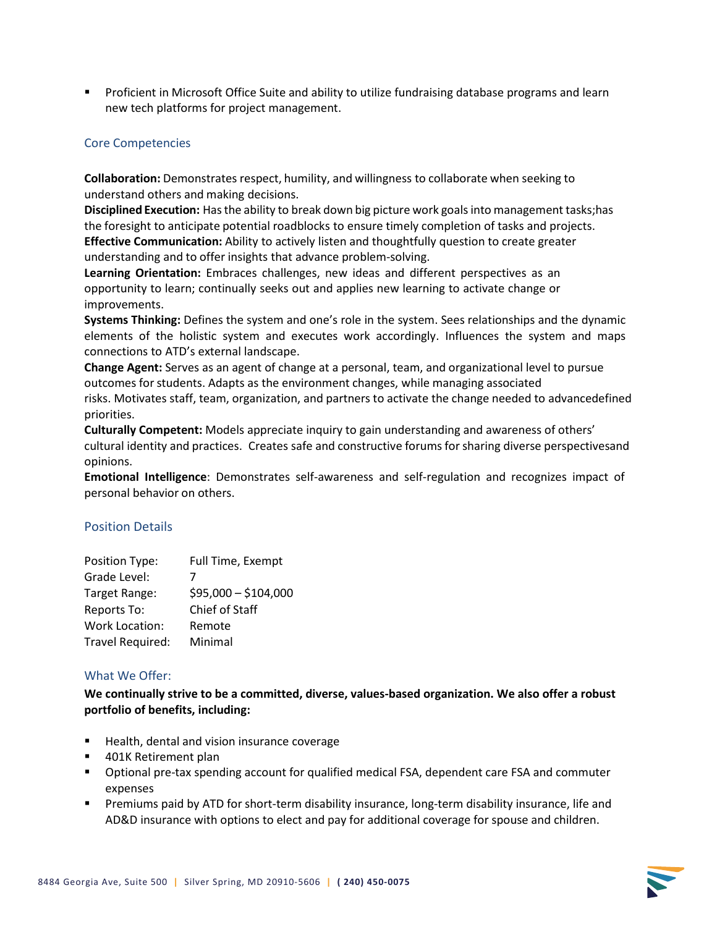**Proficient in Microsoft Office Suite and ability to utilize fundraising database programs and learn** new tech platforms for project management.

## Core Competencies

**Collaboration:** Demonstrates respect, humility, and willingness to collaborate when seeking to understand others and making decisions.

**Disciplined Execution:** Hasthe ability to break down big picture work goalsinto management tasks;has the foresight to anticipate potential roadblocks to ensure timely completion of tasks and projects. **Effective Communication:** Ability to actively listen and thoughtfully question to create greater understanding and to offer insights that advance problem-solving.

**Learning Orientation:** Embraces challenges, new ideas and different perspectives as an opportunity to learn; continually seeks out and applies new learning to activate change or improvements.

**Systems Thinking:** Defines the system and one's role in the system. Sees relationships and the dynamic elements of the holistic system and executes work accordingly. Influences the system and maps connections to ATD's external landscape.

**Change Agent:** Serves as an agent of change at a personal, team, and organizational level to pursue outcomes for students. Adapts as the environment changes, while managing associated

risks. Motivates staff, team, organization, and partners to activate the change needed to advancedefined priorities.

**Culturally Competent:** Models appreciate inquiry to gain understanding and awareness of others' cultural identity and practices. Creates safe and constructive forums forsharing diverse perspectivesand opinions.

**Emotional Intelligence**: Demonstrates self-awareness and self-regulation and recognizes impact of personal behavior on others.

#### Position Details

| Position Type:        | Full Time, Exempt    |
|-----------------------|----------------------|
| Grade Level:          |                      |
| Target Range:         | $$95,000 - $104,000$ |
| Reports To:           | Chief of Staff       |
| <b>Work Location:</b> | Remote               |
| Travel Required:      | Minimal              |

#### What We Offer:

**We continually strive to be a committed, diverse, values-based organization. We also offer a robust portfolio of benefits, including:**

- Health, dental and vision insurance coverage
- 401K Retirement plan
- Optional pre-tax spending account for qualified medical FSA, dependent care FSA and commuter expenses
- Premiums paid by ATD for short-term disability insurance, long-term disability insurance, life and AD&D insurance with options to elect and pay for additional coverage for spouse and children.